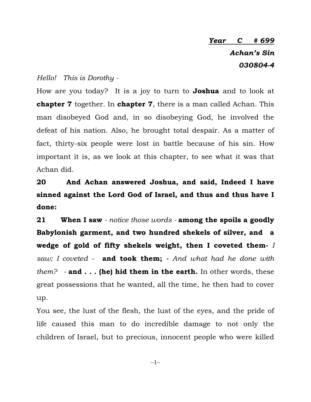## *Year C # 699 Achan's Sin 030804-4*

## *Hello! This is Dorothy -*

How are you today? It is a joy to turn to **Joshua** and to look at **chapter 7** together. In **chapter 7**, there is a man called Achan. This man disobeyed God and, in so disobeying God, he involved the defeat of his nation. Also, he brought total despair. As a matter of fact, thirty-six people were lost in battle because of his sin. How important it is, as we look at this chapter, to see what it was that Achan did.

**20 And Achan answered Joshua, and said, Indeed I have sinned against the Lord God of Israel, and thus and thus have I done:**

**21 When I saw** *- notice those words -* **among the spoils a goodly Babylonish garment, and two hundred shekels of silver, and a wedge of gold of fifty shekels weight, then I coveted them-** *I saw; I coveted* - **and took them;** *- And what had he done with them? -* **and . . . (he) hid them in the earth.** In other words, these great possessions that he wanted, all the time, he then had to cover up.

You see, the lust of the flesh, the lust of the eyes, and the pride of life caused this man to do incredible damage to not only the children of Israel, but to precious, innocent people who were killed

 $-1-$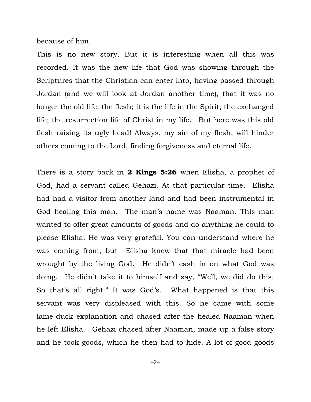because of him.

This is no new story. But it is interesting when all this was recorded. It was the new life that God was showing through the Scriptures that the Christian can enter into, having passed through Jordan (and we will look at Jordan another time), that it was no longer the old life, the flesh; it is the life in the Spirit; the exchanged life; the resurrection life of Christ in my life. But here was this old flesh raising its ugly head! Always, my sin of my flesh, will hinder others coming to the Lord, finding forgiveness and eternal life.

There is a story back in **2 Kings 5:26** when Elisha, a prophet of God, had a servant called Gehazi. At that particular time, Elisha had had a visitor from another land and had been instrumental in God healing this man. The man's name was Naaman. This man wanted to offer great amounts of goods and do anything he could to please Elisha. He was very grateful. You can understand where he was coming from, but Elisha knew that that miracle had been wrought by the living God. He didn't cash in on what God was doing. He didn't take it to himself and say, "Well, we did do this. So that's all right." It was God's. What happened is that this servant was very displeased with this. So he came with some lame-duck explanation and chased after the healed Naaman when he left Elisha. Gehazi chased after Naaman, made up a false story and he took goods, which he then had to hide. A lot of good goods

 $-2-$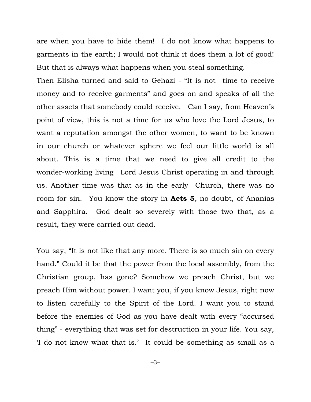are when you have to hide them! I do not know what happens to garments in the earth; I would not think it does them a lot of good! But that is always what happens when you steal something.

Then Elisha turned and said to Gehazi - "It is not time to receive money and to receive garments" and goes on and speaks of all the other assets that somebody could receive. Can I say, from Heaven's point of view, this is not a time for us who love the Lord Jesus, to want a reputation amongst the other women, to want to be known in our church or whatever sphere we feel our little world is all about. This is a time that we need to give all credit to the wonder-working living Lord Jesus Christ operating in and through us. Another time was that as in the early Church, there was no room for sin. You know the story in **Acts 5**, no doubt, of Ananias and Sapphira. God dealt so severely with those two that, as a result, they were carried out dead.

You say, "It is not like that any more. There is so much sin on every hand." Could it be that the power from the local assembly, from the Christian group, has gone? Somehow we preach Christ, but we preach Him without power. I want you, if you know Jesus, right now to listen carefully to the Spirit of the Lord. I want you to stand before the enemies of God as you have dealt with every "accursed thing" - everything that was set for destruction in your life. You say, 'I do not know what that is.' It could be something as small as a